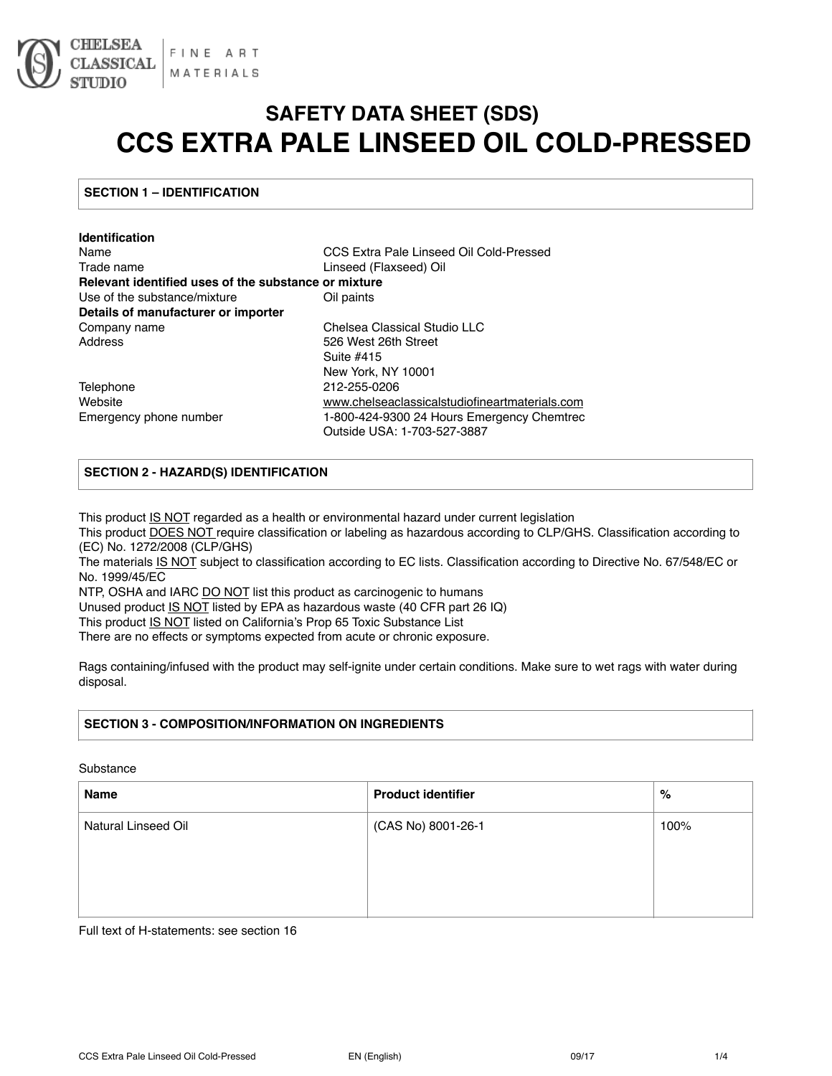

# **SAFETY DATA SHEET (SDS) CCS EXTRA PALE LINSEED OIL COLD-PRESSED**

# **SECTION 1 – IDENTIFICATION**

| <b>Identification</b>                                |                                                |
|------------------------------------------------------|------------------------------------------------|
| Name                                                 | CCS Extra Pale Linseed Oil Cold-Pressed        |
| Trade name                                           | Linseed (Flaxseed) Oil                         |
| Relevant identified uses of the substance or mixture |                                                |
| Use of the substance/mixture                         | Oil paints                                     |
| Details of manufacturer or importer                  |                                                |
| Company name                                         | Chelsea Classical Studio LLC                   |
| Address                                              | 526 West 26th Street                           |
|                                                      | Suite #415                                     |
|                                                      | New York, NY 10001                             |
| Telephone                                            | 212-255-0206                                   |
| Website                                              | www.chelseaclassicalstudiofineartmaterials.com |
| Emergency phone number                               | 1-800-424-9300 24 Hours Emergency Chemtrec     |
|                                                      | Outside USA: 1-703-527-3887                    |

# **SECTION 2 - HAZARD(S) IDENTIFICATION**

This product IS NOT regarded as a health or environmental hazard under current legislation

This product DOES NOT require classification or labeling as hazardous according to CLP/GHS. Classification according to (EC) No. 1272/2008 (CLP/GHS)

The materials IS NOT subject to classification according to EC lists. Classification according to Directive No. 67/548/EC or No. 1999/45/EC

NTP, OSHA and IARC DO NOT list this product as carcinogenic to humans

Unused product IS NOT listed by EPA as hazardous waste (40 CFR part 26 IQ)

This product IS NOT listed on California's Prop 65 Toxic Substance List

There are no effects or symptoms expected from acute or chronic exposure.

Rags containing/infused with the product may self-ignite under certain conditions. Make sure to wet rags with water during disposal.

# **SECTION 3 - COMPOSITION/INFORMATION ON INGREDIENTS**

#### Substance

| Name                | <b>Product identifier</b> | %    |
|---------------------|---------------------------|------|
| Natural Linseed Oil | (CAS No) 8001-26-1        | 100% |
|                     |                           |      |
|                     |                           |      |
|                     |                           |      |

Full text of H-statements: see section 16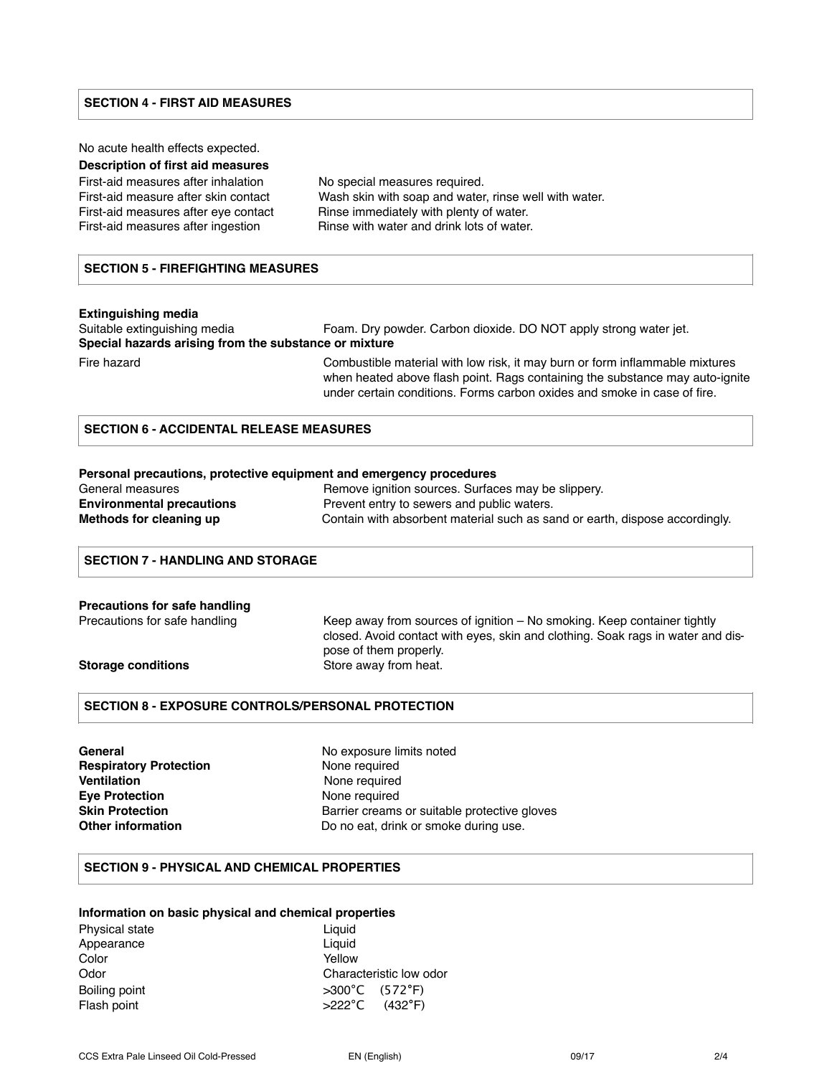#### **SECTION 4 - FIRST AID MEASURES**

No acute health effects expected.

# **Description of first aid measures**

First-aid measures after inhalation No special measures required. First-aid measure after skin contact Wash skin with soap and water, rinse well with water. First-aid measures after eve contact Rinse immediately with plenty of water. First-aid measures after ingestion **Rinse with water and drink lots of water**.

#### **SECTION 5 - FIREFIGHTING MEASURES**

#### **Extinguishing media**

Suitable extinguishing media Foam. Dry powder. Carbon dioxide. DO NOT apply strong water jet. **Special hazards arising from the substance or mixture** 

Fire hazard Combustible material with low risk, it may burn or form inflammable mixtures when heated above flash point. Rags containing the substance may auto-ignite under certain conditions. Forms carbon oxides and smoke in case of fire.

# **SECTION 6 - ACCIDENTAL RELEASE MEASURES**

#### **Personal precautions, protective equipment and emergency procedures**

| General measures                 | Remove ignition sources. Surfaces may be slippery.                          |
|----------------------------------|-----------------------------------------------------------------------------|
| <b>Environmental precautions</b> | Prevent entry to sewers and public waters.                                  |
| Methods for cleaning up          | Contain with absorbent material such as sand or earth, dispose accordingly. |

## **SECTION 7 - HANDLING AND STORAGE**

# **Precautions for safe handling** Precautions for safe handling Keep away from sources of ignition – No smoking. Keep container tightly closed. Avoid contact with eyes, skin and clothing. Soak rags in water and dis-

pose of them properly. **Storage conditions** Store away from heat.

## **SECTION 8 - EXPOSURE CONTROLS/PERSONAL PROTECTION**

**General General No exposure limits noted Respiratory Protection Mone required Ventilation None required Eye Protection None required** 

**Skin Protection Barrier creams or suitable protective gloves Other information Do no eat, drink or smoke during use.** 

#### **SECTION 9 - PHYSICAL AND CHEMICAL PROPERTIES**

## **Information on basic physical and chemical properties**

| <b>Physical state</b> | Liguid                              |
|-----------------------|-------------------------------------|
| Appearance            | Liquid                              |
| Color                 | Yellow                              |
| Odor                  | Characteristic low odor             |
| Boiling point         | $>300^{\circ}$ C (572 $^{\circ}$ F) |
| Flash point           | $>222^{\circ}$ C (432°F)            |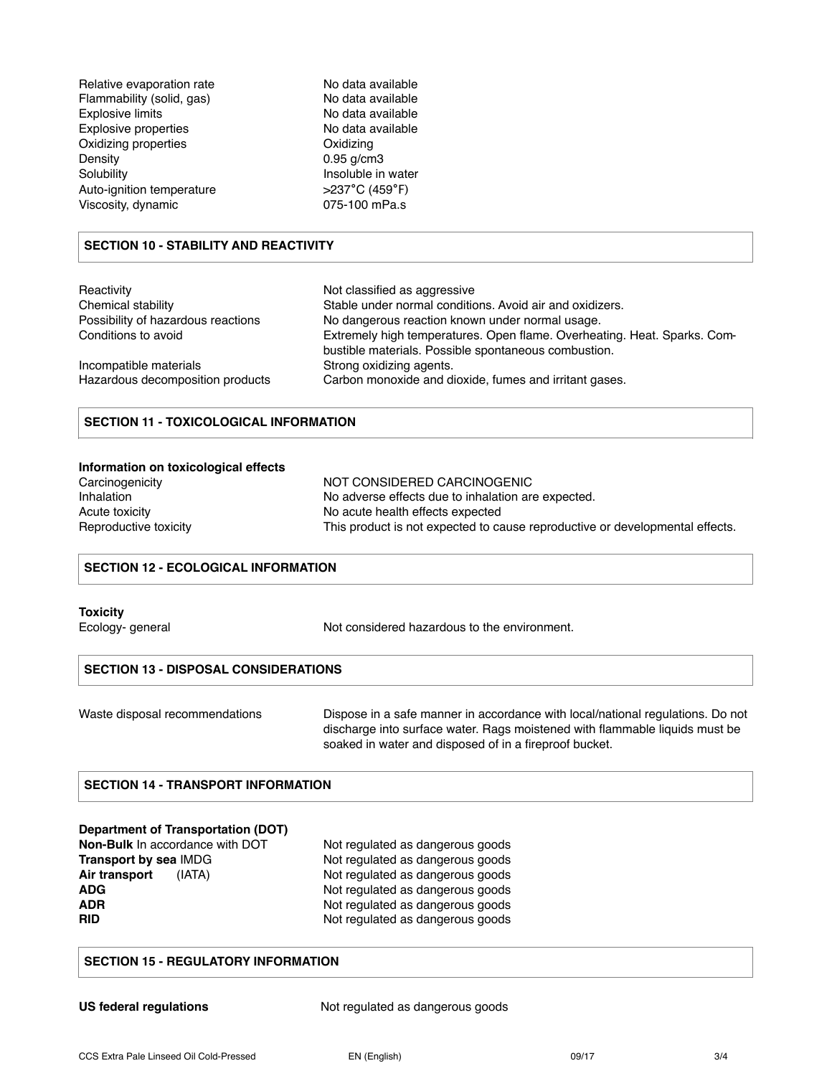| Relative evaporation rate   |
|-----------------------------|
| Flammability (solid, gas)   |
| <b>Explosive limits</b>     |
| <b>Explosive properties</b> |
| Oxidizing properties        |
| Density                     |
| Solubility                  |
| Auto-ignition temperature   |
| Viscosity, dynamic          |

No data available No data available No data available No data available **Oxidizing**  $0.95$  g/cm3 Insoluble in water Auto-ignition temperature >237**°**C (459**°**F) 075-100 mPa.s

# **SECTION 10 - STABILITY AND REACTIVITY**

| Reactivity                         | Not classified as aggressive                                                                                                     |
|------------------------------------|----------------------------------------------------------------------------------------------------------------------------------|
| Chemical stability                 | Stable under normal conditions. Avoid air and oxidizers.                                                                         |
| Possibility of hazardous reactions | No dangerous reaction known under normal usage.                                                                                  |
| Conditions to avoid                | Extremely high temperatures. Open flame. Overheating. Heat. Sparks. Com-<br>bustible materials. Possible spontaneous combustion. |
| Incompatible materials             | Strong oxidizing agents.                                                                                                         |
| Hazardous decomposition products   | Carbon monoxide and dioxide, fumes and irritant gases.                                                                           |

# **SECTION 11 - TOXICOLOGICAL INFORMATION**

#### **Information on toxicological effects**

| Carcinogenicity       |  |
|-----------------------|--|
| Inhalation            |  |
| Acute toxicity        |  |
| Reproductive toxicity |  |

NOT CONSIDERED CARCINOGENIC No adverse effects due to inhalation are expected. No acute health effects expected This product is not expected to cause reproductive or developmental effects.

# **SECTION 12 - ECOLOGICAL INFORMATION**

#### **Toxicity**

Ecology- general Not considered hazardous to the environment.

#### **SECTION 13 - DISPOSAL CONSIDERATIONS**

Waste disposal recommendations Dispose in a safe manner in accordance with local/national regulations. Do not discharge into surface water. Rags moistened with flammable liquids must be soaked in water and disposed of in a fireproof bucket.

# **SECTION 14 - TRANSPORT INFORMATION**

#### **Department of Transportation (DOT)**

**Non-Bulk** In accordance with DOT Not regulated as dangerous goods

**Transport by sea IMDG** Not regulated as dangerous goods Air transport (IATA) Not regulated as dangerous goods **ADG** Not regulated as dangerous goods<br> **ADR** Not regulated as dangerous goods<br>
Not regulated as dangerous goods Not regulated as dangerous goods **RID** Not regulated as dangerous goods

#### **SECTION 15 - REGULATORY INFORMATION**

**US federal regulations** Not regulated as dangerous goods